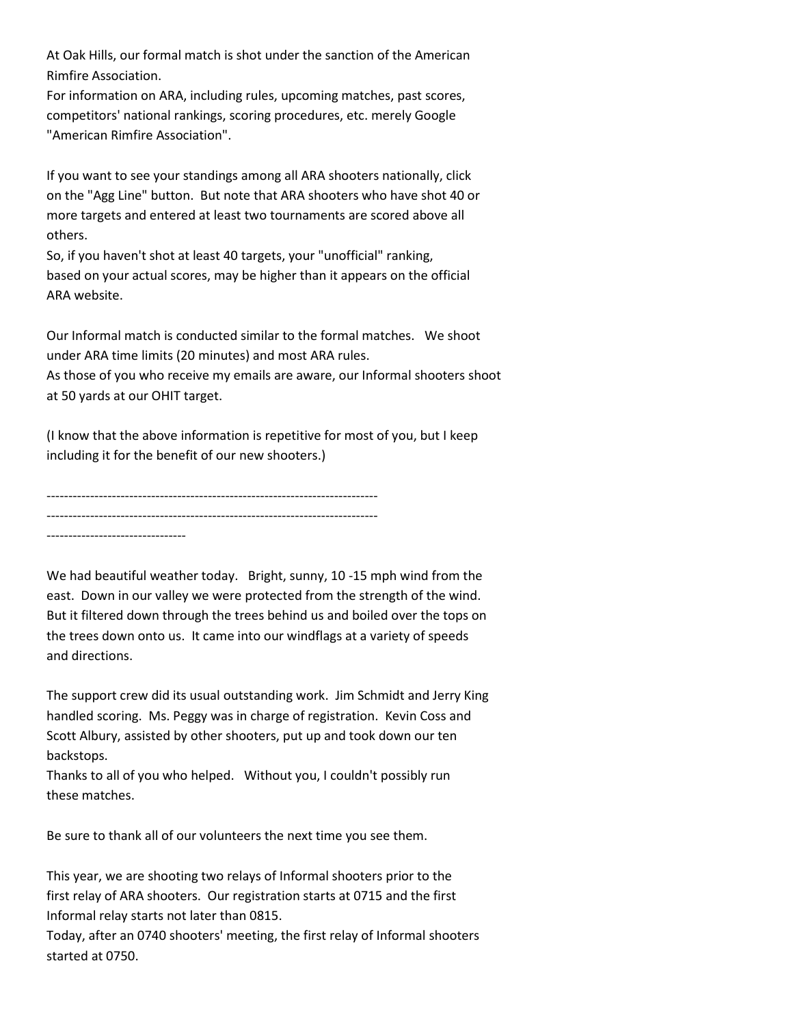At Oak Hills, our formal match is shot under the sanction of the American Rimfire Association.

For information on ARA, including rules, upcoming matches, past scores, competitors' national rankings, scoring procedures, etc. merely Google "American Rimfire Association".

If you want to see your standings among all ARA shooters nationally, click on the "Agg Line" button. But note that ARA shooters who have shot 40 or more targets and entered at least two tournaments are scored above all others.

So, if you haven't shot at least 40 targets, your "unofficial" ranking, based on your actual scores, may be higher than it appears on the official ARA website.

Our Informal match is conducted similar to the formal matches. We shoot under ARA time limits (20 minutes) and most ARA rules.

As those of you who receive my emails are aware, our Informal shooters shoot at 50 yards at our OHIT target.

(I know that the above information is repetitive for most of you, but I keep including it for the benefit of our new shooters.)

---------------------------------------------------------------------------- ---------------------------------------------------------------------------- --------------------------------

We had beautiful weather today. Bright, sunny, 10 -15 mph wind from the east. Down in our valley we were protected from the strength of the wind. But it filtered down through the trees behind us and boiled over the tops on the trees down onto us. It came into our windflags at a variety of speeds and directions.

The support crew did its usual outstanding work. Jim Schmidt and Jerry King handled scoring. Ms. Peggy was in charge of registration. Kevin Coss and Scott Albury, assisted by other shooters, put up and took down our ten backstops.

Thanks to all of you who helped. Without you, I couldn't possibly run these matches.

Be sure to thank all of our volunteers the next time you see them.

This year, we are shooting two relays of Informal shooters prior to the first relay of ARA shooters. Our registration starts at 0715 and the first Informal relay starts not later than 0815.

Today, after an 0740 shooters' meeting, the first relay of Informal shooters started at 0750.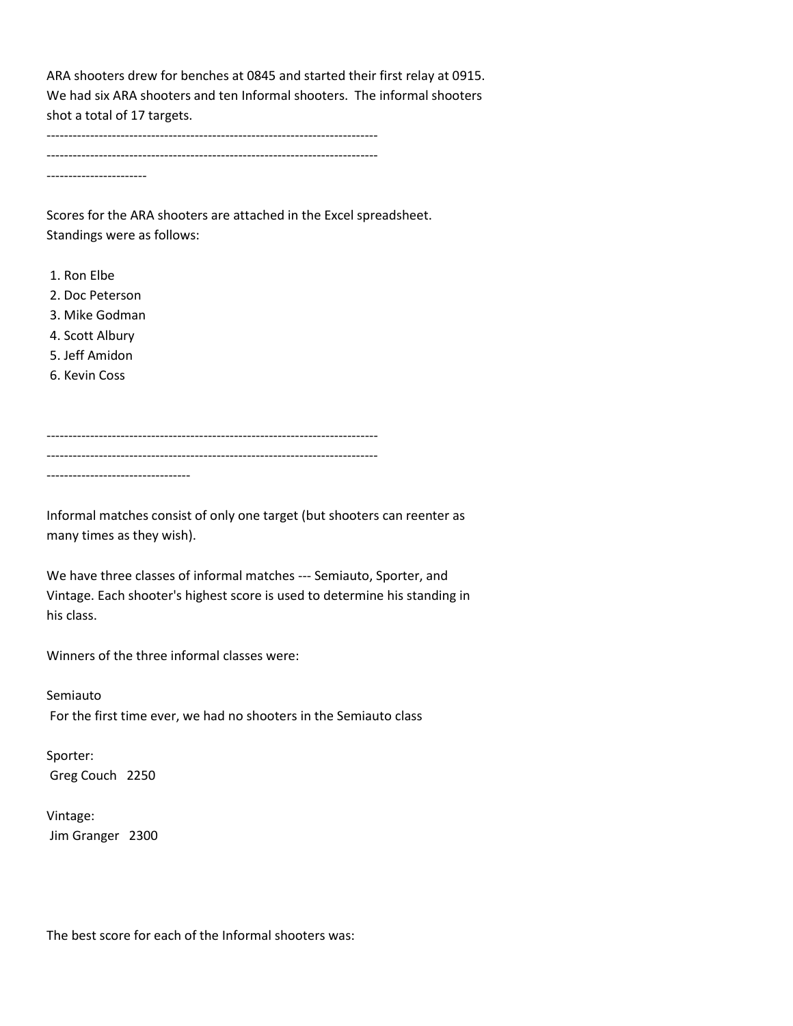ARA shooters drew for benches at 0845 and started their first relay at 0915. We had six ARA shooters and ten Informal shooters. The informal shooters shot a total of 17 targets.

---------------------------------------------------------------------------- ---------------------------------------------------------------------------- -----------------------

Scores for the ARA shooters are attached in the Excel spreadsheet. Standings were as follows:

- 1. Ron Elbe
- 2. Doc Peterson
- 3. Mike Godman
- 4. Scott Albury
- 5. Jeff Amidon
- 6. Kevin Coss

---------------------------------------------------------------------------- ---------------------------------------------------------------------------- ---------------------------------

Informal matches consist of only one target (but shooters can reenter as many times as they wish).

We have three classes of informal matches --- Semiauto, Sporter, and Vintage. Each shooter's highest score is used to determine his standing in his class.

Winners of the three informal classes were:

Semiauto For the first time ever, we had no shooters in the Semiauto class

Sporter: Greg Couch 2250

Vintage: Jim Granger 2300

The best score for each of the Informal shooters was: